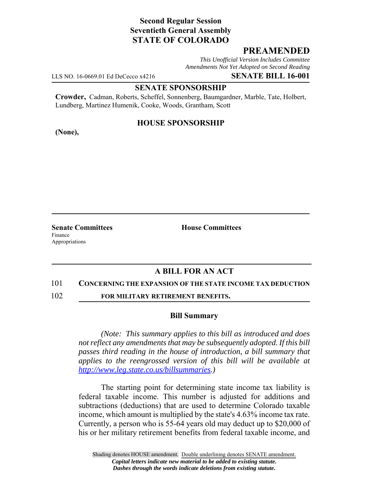# **Second Regular Session Seventieth General Assembly STATE OF COLORADO**

# **PREAMENDED**

*This Unofficial Version Includes Committee Amendments Not Yet Adopted on Second Reading*

LLS NO. 16-0669.01 Ed DeCecco x4216 **SENATE BILL 16-001**

## **SENATE SPONSORSHIP**

**Crowder,** Cadman, Roberts, Scheffel, Sonnenberg, Baumgardner, Marble, Tate, Holbert, Lundberg, Martinez Humenik, Cooke, Woods, Grantham, Scott

## **HOUSE SPONSORSHIP**

**(None),**

Finance Appropriations

**Senate Committees House Committees** 

# **A BILL FOR AN ACT**

#### 101 **CONCERNING THE EXPANSION OF THE STATE INCOME TAX DEDUCTION**

102 **FOR MILITARY RETIREMENT BENEFITS.**

## **Bill Summary**

*(Note: This summary applies to this bill as introduced and does not reflect any amendments that may be subsequently adopted. If this bill passes third reading in the house of introduction, a bill summary that applies to the reengrossed version of this bill will be available at http://www.leg.state.co.us/billsummaries.)*

The starting point for determining state income tax liability is federal taxable income. This number is adjusted for additions and subtractions (deductions) that are used to determine Colorado taxable income, which amount is multiplied by the state's 4.63% income tax rate. Currently, a person who is 55-64 years old may deduct up to \$20,000 of his or her military retirement benefits from federal taxable income, and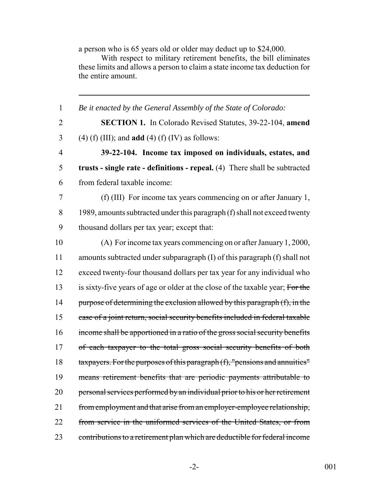a person who is 65 years old or older may deduct up to \$24,000.

With respect to military retirement benefits, the bill eliminates these limits and allows a person to claim a state income tax deduction for the entire amount.

 *Be it enacted by the General Assembly of the State of Colorado:* **SECTION 1.** In Colorado Revised Statutes, 39-22-104, **amend** (4) (f) (III); and **add** (4) (f) (IV) as follows: **39-22-104. Income tax imposed on individuals, estates, and trusts - single rate - definitions - repeal.** (4) There shall be subtracted from federal taxable income: (f) (III) For income tax years commencing on or after January 1, 8 1989, amounts subtracted under this paragraph (f) shall not exceed twenty thousand dollars per tax year; except that: (A) For income tax years commencing on or after January 1, 2000, amounts subtracted under subparagraph (I) of this paragraph (f) shall not exceed twenty-four thousand dollars per tax year for any individual who 13 is sixty-five years of age or older at the close of the taxable year; For the 14 purpose of determining the exclusion allowed by this paragraph (f), in the case of a joint return, social security benefits included in federal taxable income shall be apportioned in a ratio of the gross social security benefits 17 of each taxpayer to the total gross social security benefits of both taxpayers. For the purposes of this paragraph (f), "pensions and annuities" means retirement benefits that are periodic payments attributable to 20 personal services performed by an individual prior to his or her retirement 21 from employment and that arise from an employer-employee relationship, from service in the uniformed services of the United States, or from contributions to a retirement plan which are deductible for federal income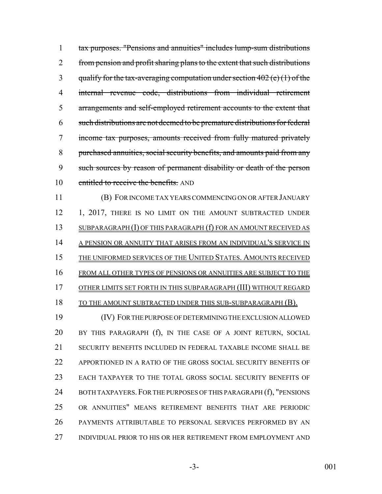tax purposes. "Pensions and annuities" includes lump-sum distributions 2 from pension and profit sharing plans to the extent that such distributions 3 qualify for the tax-averaging computation under section (e) (1) of the internal revenue code, distributions from individual retirement arrangements and self-employed retirement accounts to the extent that such distributions are not deemed to be premature distributions for federal income tax purposes, amounts received from fully matured privately purchased annuities, social security benefits, and amounts paid from any such sources by reason of permanent disability or death of the person 10 entitled to receive the benefits. AND

 (B) FOR INCOME TAX YEARS COMMENCING ON OR AFTER JANUARY 12 1, 2017, THERE IS NO LIMIT ON THE AMOUNT SUBTRACTED UNDER 13 SUBPARAGRAPH (I) OF THIS PARAGRAPH (f) FOR AN AMOUNT RECEIVED AS 14 A PENSION OR ANNUITY THAT ARISES FROM AN INDIVIDUAL'S SERVICE IN THE UNIFORMED SERVICES OF THE UNITED STATES. AMOUNTS RECEIVED FROM ALL OTHER TYPES OF PENSIONS OR ANNUITIES ARE SUBJECT TO THE OTHER LIMITS SET FORTH IN THIS SUBPARAGRAPH (III) WITHOUT REGARD

18 TO THE AMOUNT SUBTRACTED UNDER THIS SUB-SUBPARAGRAPH (B).

 (IV) FOR THE PURPOSE OF DETERMINING THE EXCLUSION ALLOWED BY THIS PARAGRAPH (f), IN THE CASE OF A JOINT RETURN, SOCIAL SECURITY BENEFITS INCLUDED IN FEDERAL TAXABLE INCOME SHALL BE APPORTIONED IN A RATIO OF THE GROSS SOCIAL SECURITY BENEFITS OF EACH TAXPAYER TO THE TOTAL GROSS SOCIAL SECURITY BENEFITS OF 24 BOTH TAXPAYERS. FOR THE PURPOSES OF THIS PARAGRAPH (f), "PENSIONS OR ANNUITIES" MEANS RETIREMENT BENEFITS THAT ARE PERIODIC PAYMENTS ATTRIBUTABLE TO PERSONAL SERVICES PERFORMED BY AN INDIVIDUAL PRIOR TO HIS OR HER RETIREMENT FROM EMPLOYMENT AND

-3- 001